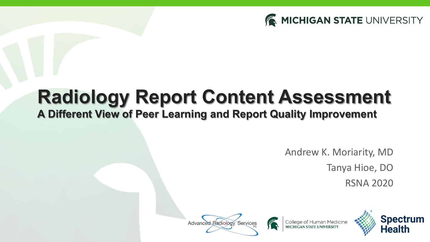

# **Radiology Report Content Assessment**

#### **A Different View of Peer Learning and Report Quality Improvement**

Andrew K. Moriarity, MD Tanya Hioe, DO

College of Human Medicine

RSNA 2020



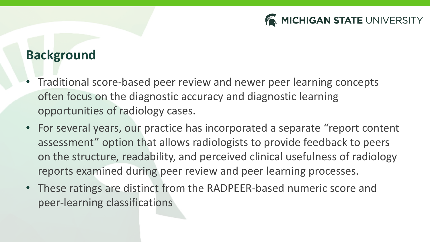

#### **Background**

- Traditional score-based peer review and newer peer learning concepts often focus on the diagnostic accuracy and diagnostic learning opportunities of radiology cases.
- For several years, our practice has incorporated a separate "report content assessment" option that allows radiologists to provide feedback to peers on the structure, readability, and perceived clinical usefulness of radiology reports examined during peer review and peer learning processes.
- These ratings are distinct from the RADPEER-based numeric score and peer-learning classifications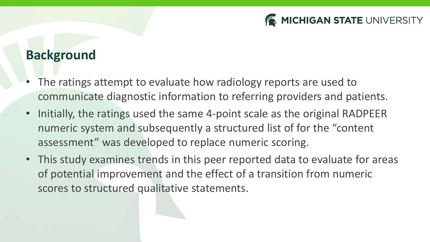

#### **Background**

- The ratings attempt to evaluate how radiology reports are used to communicate diagnostic information to referring providers and patients.
- Initially, the ratings used the same 4-point scale as the original RADPEER numeric system and subsequently a structured list of for the "content assessment" was developed to replace numeric scoring.
- This study examines trends in this peer reported data to evaluate for areas of potential improvement and the effect of a transition from numeric scores to structured qualitative statements.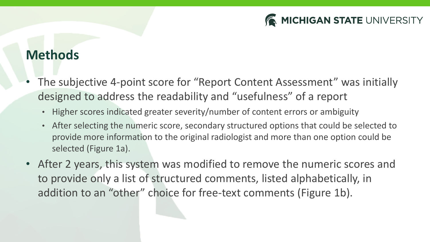

#### **Methods**

- The subjective 4-point score for "Report Content Assessment" was initially designed to address the readability and "usefulness" of a report
	- Higher scores indicated greater severity/number of content errors or ambiguity
	- After selecting the numeric score, secondary structured options that could be selected to provide more information to the original radiologist and more than one option could be selected (Figure 1a).
- After 2 years, this system was modified to remove the numeric scores and to provide only a list of structured comments, listed alphabetically, in addition to an "other" choice for free-text comments (Figure 1b).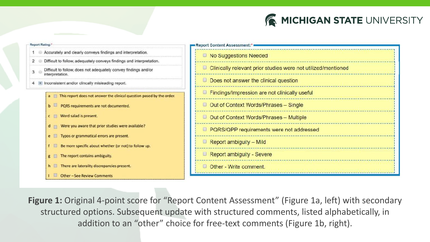

| <b>Report Rating:</b>                                                              | Report Content Assessment:*                                     |
|------------------------------------------------------------------------------------|-----------------------------------------------------------------|
| Accurately and clearly conveys findings and interpretation.                        | No Suggestions Needed                                           |
| Difficult to follow, adequately conveys findings and interpretation.               |                                                                 |
| Difficult to follow, does not adequately convey findings and/or<br>interpretation. | □ Clinically relevant prior studies were not utilized/mentioned |
| Inconsistent and/or clincally misleading report.                                   | $\Box$ Does not answer the clinical question                    |
| a This report does not answer the clinical question posed by the order.            | $\Box$ Findings/Impression are not clinically useful            |
| PQRS requirements are not documented.                                              | <b>D</b> Out of Context Words/Phrases - Single                  |
| c Word salad is present.                                                           | $\Box$ Out of Context Words/Phrases - Multiple                  |
| $d$ Were you aware that prior studies were available?                              | <b>PQRS/QPP requirements were not addressed</b>                 |
| Typos or grammatical errors are present.<br>$e$ $\Box$                             |                                                                 |
| f Be more specific about whether (or not) to follow up.                            | $\Box$ Report ambiguity – Mild                                  |
| The report contains ambiguity.<br>2 <sup>1</sup>                                   | Report ambiguity - Severe                                       |
| There are laterality discrepancies present.<br>h                                   | Other - Write comment                                           |
| <b>Other-See Review Comments</b>                                                   |                                                                 |

Figure 1: Original 4-point score for "Report Content Assessment" (Figure 1a, left) with secondary structured options. Subsequent update with structured comments, listed alphabetically, in addition to an "other" choice for free-text comments (Figure 1b, right).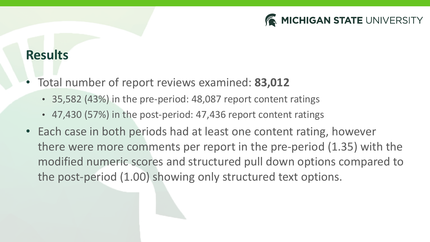

#### **Results**

- Total number of report reviews examined: **83,012** 
	- 35,582 (43%) in the pre-period: 48,087 report content ratings
	- 47,430 (57%) in the post-period: 47,436 report content ratings
- Each case in both periods had at least one content rating, however there were more comments per report in the pre-period (1.35) with the modified numeric scores and structured pull down options compared to the post-period (1.00) showing only structured text options.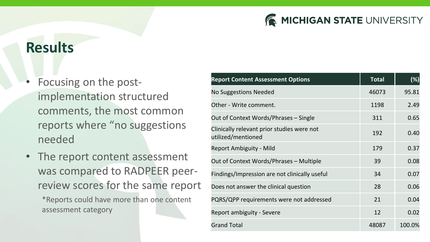

### **Results**

- Focusing on the postimplementation structured comments, the most common reports where "no suggestions needed
- The report content assessment was compared to RADPEER peerreview scores for the same report

\*Reports could have more than one content assessment category

| <b>Report Content Assessment Options</b>                         | <b>Total</b> | (%)    |
|------------------------------------------------------------------|--------------|--------|
| <b>No Suggestions Needed</b>                                     | 46073        | 95.81  |
| Other - Write comment.                                           | 1198         | 2.49   |
| Out of Context Words/Phrases - Single                            | 311          | 0.65   |
| Clinically relevant prior studies were not<br>utilized/mentioned | 192          | 0.40   |
| Report Ambiguity - Mild                                          | 179          | 0.37   |
| Out of Context Words/Phrases - Multiple                          | 39           | 0.08   |
| Findings/Impression are not clinically useful                    | 34           | 0.07   |
| Does not answer the clinical question                            | 28           | 0.06   |
| PQRS/QPP requirements were not addressed                         | 21           | 0.04   |
| Report ambiguity - Severe                                        | 12           | 0.02   |
| <b>Grand Total</b>                                               | 48087        | 100.0% |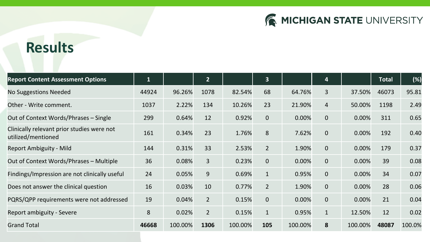

## **Results**

| <b>Report Content Assessment Options</b>                         | $\mathbf{1}$ |         | $\overline{2}$ |         | $\overline{3}$ |         | 4            |         | <b>Total</b> | (%)    |
|------------------------------------------------------------------|--------------|---------|----------------|---------|----------------|---------|--------------|---------|--------------|--------|
| No Suggestions Needed                                            | 44924        | 96.26%  | 1078           | 82.54%  | 68             | 64.76%  | 3            | 37.50%  | 46073        | 95.81  |
| Other - Write comment.                                           | 1037         | 2.22%   | 134            | 10.26%  | 23             | 21.90%  | 4            | 50.00%  | 1198         | 2.49   |
| Out of Context Words/Phrases - Single                            | 299          | 0.64%   | 12             | 0.92%   | $\mathbf 0$    | 0.00%   | $\mathbf 0$  | 0.00%   | 311          | 0.65   |
| Clinically relevant prior studies were not<br>utilized/mentioned | 161          | 0.34%   | 23             | 1.76%   | 8              | 7.62%   | $\mathbf 0$  | 0.00%   | 192          | 0.40   |
| Report Ambiguity - Mild                                          | 144          | 0.31%   | 33             | 2.53%   | $\overline{2}$ | 1.90%   | $\mathbf 0$  | 0.00%   | 179          | 0.37   |
| Out of Context Words/Phrases - Multiple                          | 36           | 0.08%   | 3              | 0.23%   | $\Omega$       | 0.00%   | $\mathbf 0$  | 0.00%   | 39           | 0.08   |
| Findings/Impression are not clinically useful                    | 24           | 0.05%   | 9              | 0.69%   | $\mathbf{1}$   | 0.95%   | $\mathbf{0}$ | 0.00%   | 34           | 0.07   |
| Does not answer the clinical question                            | 16           | 0.03%   | 10             | 0.77%   | $\overline{2}$ | 1.90%   | $\mathbf 0$  | 0.00%   | 28           | 0.06   |
| PQRS/QPP requirements were not addressed                         | 19           | 0.04%   | $\overline{2}$ | 0.15%   | $\mathbf{0}$   | 0.00%   | $\mathbf 0$  | 0.00%   | 21           | 0.04   |
| Report ambiguity - Severe                                        | 8            | 0.02%   | $\overline{2}$ | 0.15%   | $\mathbf{1}$   | 0.95%   | $\mathbf{1}$ | 12.50%  | 12           | 0.02   |
| <b>Grand Total</b>                                               | 46668        | 100.00% | 1306           | 100.00% | 105            | 100.00% | 8            | 100.00% | 48087        | 100.0% |